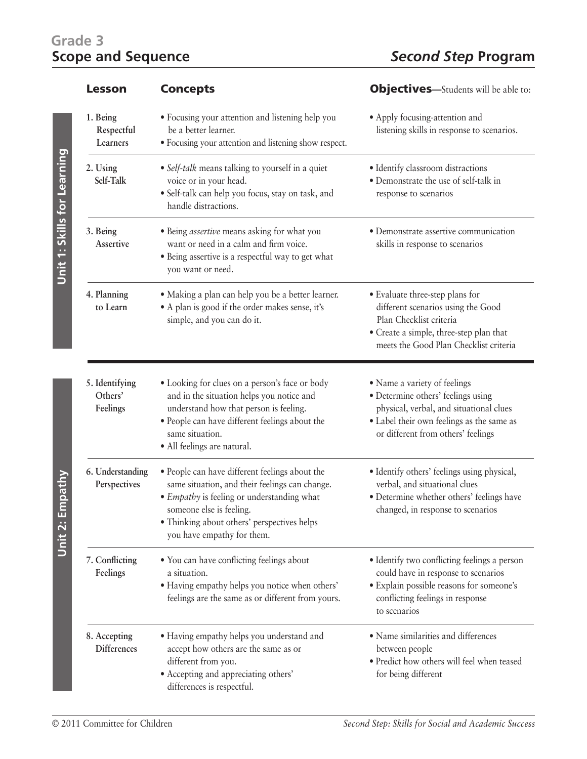## **Grade 3**

| <b>Lesson</b>                         | <b>Concepts</b>                                                                                                                                                                                                                                         | <b>Objectives</b> —Students will be able to:                                                                                                                                                     |
|---------------------------------------|---------------------------------------------------------------------------------------------------------------------------------------------------------------------------------------------------------------------------------------------------------|--------------------------------------------------------------------------------------------------------------------------------------------------------------------------------------------------|
| 1. Being<br>Respectful<br>Learners    | • Focusing your attention and listening help you<br>be a better learner.<br>• Focusing your attention and listening show respect.                                                                                                                       | • Apply focusing-attention and<br>listening skills in response to scenarios.                                                                                                                     |
| 2. Using<br>Self-Talk                 | • Self-talk means talking to yourself in a quiet<br>voice or in your head.<br>· Self-talk can help you focus, stay on task, and<br>handle distractions.                                                                                                 | · Identify classroom distractions<br>• Demonstrate the use of self-talk in<br>response to scenarios                                                                                              |
| 3. Being<br>Assertive                 | • Being <i>assertive</i> means asking for what you<br>want or need in a calm and firm voice.<br>· Being assertive is a respectful way to get what<br>you want or need.                                                                                  | · Demonstrate assertive communication<br>skills in response to scenarios                                                                                                                         |
| 4. Planning<br>to Learn               | · Making a plan can help you be a better learner.<br>• A plan is good if the order makes sense, it's<br>simple, and you can do it.                                                                                                                      | • Evaluate three-step plans for<br>different scenarios using the Good<br>Plan Checklist criteria<br>• Create a simple, three-step plan that<br>meets the Good Plan Checklist criteria            |
| 5. Identifying<br>Others'<br>Feelings | • Looking for clues on a person's face or body<br>and in the situation helps you notice and<br>understand how that person is feeling.<br>· People can have different feelings about the<br>same situation.<br>• All feelings are natural.               | • Name a variety of feelings<br>· Determine others' feelings using<br>physical, verbal, and situational clues<br>• Label their own feelings as the same as<br>or different from others' feelings |
| 6. Understanding<br>Perspectives      | · People can have different feelings about the<br>same situation, and their feelings can change.<br>• Empathy is feeling or understanding what<br>someone else is feeling.<br>• Thinking about others' perspectives helps<br>you have empathy for them. | · Identify others' feelings using physical,<br>verbal, and situational clues<br>· Determine whether others' feelings have<br>changed, in response to scenarios                                   |
| 7. Conflicting<br>Feelings            | • You can have conflicting feelings about<br>a situation.<br>• Having empathy helps you notice when others'<br>feelings are the same as or different from yours.                                                                                        | • Identify two conflicting feelings a person<br>could have in response to scenarios<br>· Explain possible reasons for someone's<br>conflicting feelings in response<br>to scenarios              |
| 8. Accepting<br><b>Differences</b>    | • Having empathy helps you understand and<br>accept how others are the same as or<br>different from you.<br>• Accepting and appreciating others'<br>differences is respectful.                                                                          | • Name similarities and differences<br>between people<br>· Predict how others will feel when teased<br>for being different                                                                       |

Unit 2: Empathy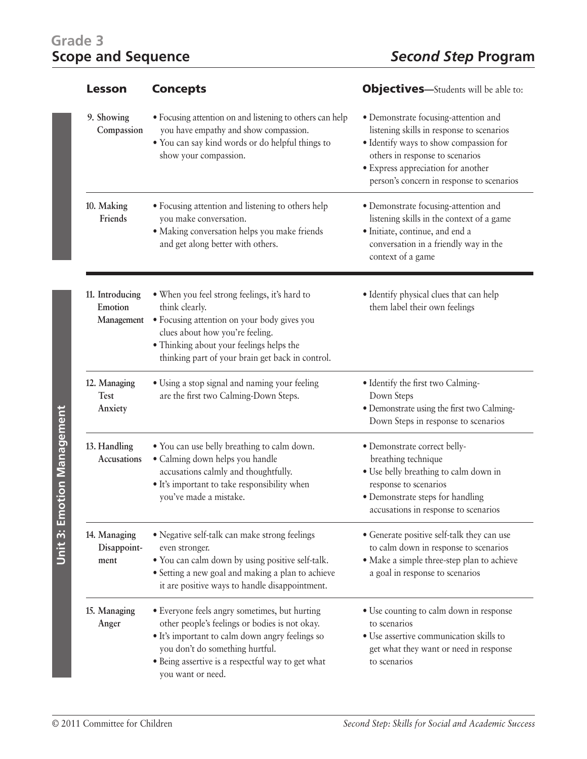## **Grade 3**

| <b>Lesson</b>                            | <b>Concepts</b>                                                                                                                                                                                                                                                 | <b>Objectives</b> —Students will be able to:                                                                                                                                                                                                      |
|------------------------------------------|-----------------------------------------------------------------------------------------------------------------------------------------------------------------------------------------------------------------------------------------------------------------|---------------------------------------------------------------------------------------------------------------------------------------------------------------------------------------------------------------------------------------------------|
| 9. Showing<br>Compassion                 | • Focusing attention on and listening to others can help<br>you have empathy and show compassion.<br>. You can say kind words or do helpful things to<br>show your compassion.                                                                                  | · Demonstrate focusing-attention and<br>listening skills in response to scenarios<br>· Identify ways to show compassion for<br>others in response to scenarios<br>• Express appreciation for another<br>person's concern in response to scenarios |
| 10. Making<br>Friends                    | • Focusing attention and listening to others help<br>you make conversation.<br>· Making conversation helps you make friends<br>and get along better with others.                                                                                                | · Demonstrate focusing-attention and<br>listening skills in the context of a game<br>· Initiate, continue, and end a<br>conversation in a friendly way in the<br>context of a game                                                                |
| 11. Introducing<br>Emotion<br>Management | • When you feel strong feelings, it's hard to<br>think clearly.<br>· Focusing attention on your body gives you<br>clues about how you're feeling.<br>• Thinking about your feelings helps the<br>thinking part of your brain get back in control.               | • Identify physical clues that can help<br>them label their own feelings                                                                                                                                                                          |
| 12. Managing<br><b>Test</b><br>Anxiety   | · Using a stop signal and naming your feeling<br>are the first two Calming-Down Steps.                                                                                                                                                                          | • Identify the first two Calming-<br>Down Steps<br>· Demonstrate using the first two Calming-<br>Down Steps in response to scenarios                                                                                                              |
| 13. Handling<br>Accusations              | • You can use belly breathing to calm down.<br>· Calming down helps you handle<br>accusations calmly and thoughtfully.<br>· It's important to take responsibility when<br>you've made a mistake.                                                                | · Demonstrate correct belly-<br>breathing technique<br>· Use belly breathing to calm down in<br>response to scenarios<br>• Demonstrate steps for handling<br>accusations in response to scenarios                                                 |
| 14. Managing<br>Disappoint-<br>ment      | • Negative self-talk can make strong feelings<br>even stronger.<br>• You can calm down by using positive self-talk.<br>• Setting a new goal and making a plan to achieve<br>it are positive ways to handle disappointment.                                      | · Generate positive self-talk they can use<br>to calm down in response to scenarios<br>· Make a simple three-step plan to achieve<br>a goal in response to scenarios                                                                              |
| 15. Managing<br>Anger                    | • Everyone feels angry sometimes, but hurting<br>other people's feelings or bodies is not okay.<br>• It's important to calm down angry feelings so<br>you don't do something hurtful.<br>• Being assertive is a respectful way to get what<br>you want or need. | • Use counting to calm down in response<br>to scenarios<br>· Use assertive communication skills to<br>get what they want or need in response<br>to scenarios                                                                                      |